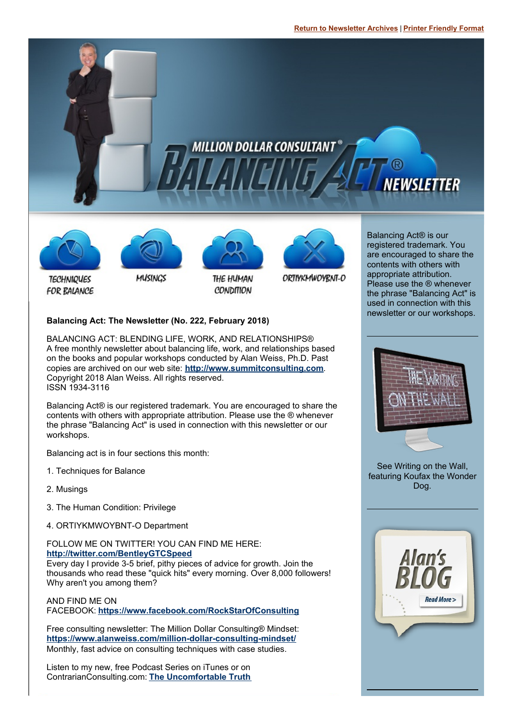#### **Return to [Newsletter](http://www.alanweiss.com/balancing-act-newsletter/) Archives** | **Printer [Friendly](http://www.alanweiss.com/balancing-act/january-2018.pdf) Format**





**TECHNIQUES** 

FOR BALANCE



MUSINGS



THE HUMAN **CONDITION** 



ORTIYKMWOYBNT-O

Balancing Act® is our registered trademark. You are encouraged to share the contents with others with appropriate attribution. Please use the ® whenever the phrase "Balancing Act" is used in connection with this newsletter or our workshops.



BALANCING ACT: BLENDING LIFE, WORK, AND RELATIONSHIPS® A free monthly newsletter about balancing life, work, and relationships based on the books and popular workshops conducted by Alan Weiss, Ph.D. Past copies are archived on our web site: **<http://www.summitconsulting.com>**. Copyright 2018 Alan Weiss. All rights reserved. ISSN 1934-3116

Balancing Act® is our registered trademark. You are encouraged to share the contents with others with appropriate attribution. Please use the ® whenever the phrase "Balancing Act" is used in connection with this newsletter or our workshops.

Balancing act is in four sections this month:

- 1. Techniques for Balance
- 2. Musings
- 3. The Human Condition: Privilege
- 4. ORTIYKMWOYBNT-O Department

FOLLOW ME ON TWITTER! YOU CAN FIND ME HERE:

**<http://twitter.com/BentleyGTCSpeed>**

Every day I provide 3-5 brief, pithy pieces of advice for growth. Join the thousands who read these "quick hits" every morning. Over 8,000 followers! Why aren't you among them?

#### AND FIND ME ON

FACEBOOK: **[https://www.facebook.com/RockStarOfConsulting](http://www.facebook.com/profile.php?id=788474935&ref=profile)**

Free consulting newsletter: The Million Dollar Consulting® Mindset: **<https://www.alanweiss.com/million-dollar-consulting-mindset/>** Monthly, fast advice on consulting techniques with case studies.

Listen to my new, free Podcast Series on iTunes or on ContrarianConsulting.com: **The [Uncomfortable](http://www.contrarianconsulting.com/uncomfortable-truth/) Truth**



See Writing on the Wall, featuring Koufax the Wonder Dog.

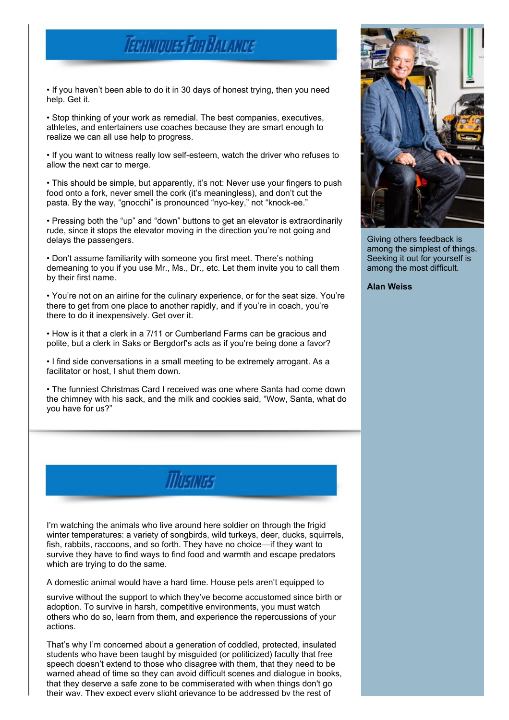## **TECHNIQUES FOR BALANCE**

• If you haven't been able to do it in 30 days of honest trying, then you need help. Get it.

• Stop thinking of your work as remedial. The best companies, executives, athletes, and entertainers use coaches because they are smart enough to realize we can all use help to progress.

• If you want to witness really low self-esteem, watch the driver who refuses to allow the next car to merge.

• This should be simple, but apparently, it's not: Never use your fingers to push food onto a fork, never smell the cork (it's meaningless), and don't cut the pasta. By the way, "gnocchi" is pronounced "nyo-key," not "knock-ee."

• Pressing both the "up" and "down" buttons to get an elevator is extraordinarily rude, since it stops the elevator moving in the direction you're not going and delays the passengers.

• Don't assume familiarity with someone you first meet. There's nothing demeaning to you if you use Mr., Ms., Dr., etc. Let them invite you to call them by their first name.

• You're not on an airline for the culinary experience, or for the seat size. You're there to get from one place to another rapidly, and if you're in coach, you're there to do it inexpensively. Get over it.

• How is it that a clerk in a 7/11 or Cumberland Farms can be gracious and polite, but a clerk in Saks or Bergdorf's acts as if you're being done a favor?

• I find side conversations in a small meeting to be extremely arrogant. As a facilitator or host, I shut them down.

• The funniest Christmas Card I received was one where Santa had come down the chimney with his sack, and the milk and cookies said, "Wow, Santa, what do you have for us?"

**MUSIKIGS** 

I'm watching the animals who live around here soldier on through the frigid winter temperatures: a variety of songbirds, wild turkeys, deer, ducks, squirrels, fish, rabbits, raccoons, and so forth. They have no choice—if they want to survive they have to find ways to find food and warmth and escape predators which are trying to do the same.

A domestic animal would have a hard time. House pets aren't equipped to

survive without the support to which they've become accustomed since birth or adoption. To survive in harsh, competitive environments, you must watch others who do so, learn from them, and experience the repercussions of your actions.

That's why I'm concerned about a generation of coddled, protected, insulated students who have been taught by misguided (or politicized) faculty that free speech doesn't extend to those who disagree with them, that they need to be warned ahead of time so they can avoid difficult scenes and dialogue in books, that they deserve a safe zone to be commiserated with when things don't go their way. They expect every slight grievance to be addressed by the rest of



Giving others feedback is among the simplest of things. Seeking it out for yourself is among the most difficult.

**Alan Weiss**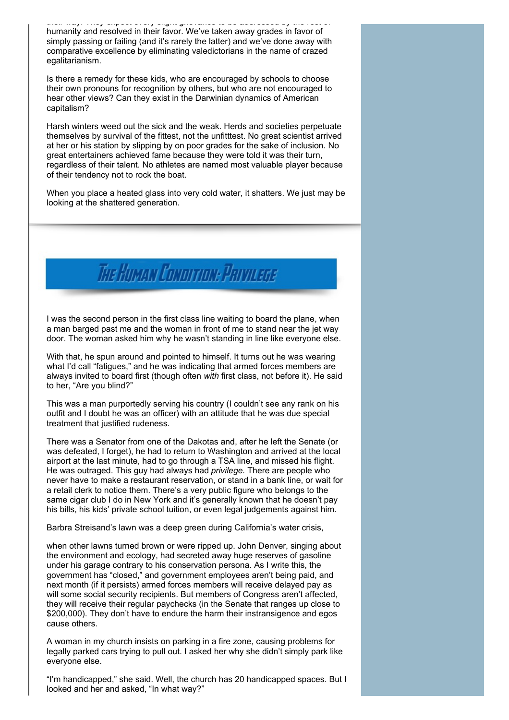their way. They expect every slight grievance to be addressed by the rest of humanity and resolved in their favor. We've taken away grades in favor of simply passing or failing (and it's rarely the latter) and we've done away with comparative excellence by eliminating valedictorians in the name of crazed egalitarianism.

Is there a remedy for these kids, who are encouraged by schools to choose their own pronouns for recognition by others, but who are not encouraged to hear other views? Can they exist in the Darwinian dynamics of American capitalism?

Harsh winters weed out the sick and the weak. Herds and societies perpetuate themselves by survival of the fittest, not the unfitttest. No great scientist arrived at her or his station by slipping by on poor grades for the sake of inclusion. No great entertainers achieved fame because they were told it was their turn, regardless of their talent. No athletes are named most valuable player because of their tendency not to rock the boat.

When you place a heated glass into very cold water, it shatters. We just may be looking at the shattered generation.

# The Human Conorrion: Parvicege

I was the second person in the first class line waiting to board the plane, when a man barged past me and the woman in front of me to stand near the jet way door. The woman asked him why he wasn't standing in line like everyone else.

With that, he spun around and pointed to himself. It turns out he was wearing what I'd call "fatigues," and he was indicating that armed forces members are always invited to board first (though often *with* first class, not before it). He said to her, "Are you blind?"

This was a man purportedly serving his country (I couldn't see any rank on his outfit and I doubt he was an officer) with an attitude that he was due special treatment that justified rudeness.

There was a Senator from one of the Dakotas and, after he left the Senate (or was defeated, I forget), he had to return to Washington and arrived at the local airport at the last minute, had to go through a TSA line, and missed his flight. He was outraged. This guy had always had *privilege.* There are people who never have to make a restaurant reservation, or stand in a bank line, or wait for a retail clerk to notice them. There's a very public figure who belongs to the same cigar club I do in New York and it's generally known that he doesn't pay his bills, his kids' private school tuition, or even legal judgements against him.

Barbra Streisand's lawn was a deep green during California's water crisis,

when other lawns turned brown or were ripped up. John Denver, singing about the environment and ecology, had secreted away huge reserves of gasoline under his garage contrary to his conservation persona. As I write this, the government has "closed," and government employees aren't being paid, and next month (if it persists) armed forces members will receive delayed pay as will some social security recipients. But members of Congress aren't affected, they will receive their regular paychecks (in the Senate that ranges up close to \$200,000). They don't have to endure the harm their instransigence and egos cause others.

A woman in my church insists on parking in a fire zone, causing problems for legally parked cars trying to pull out. I asked her why she didn't simply park like everyone else.

"I'm handicapped," she said. Well, the church has 20 handicapped spaces. But I looked and her and asked, "In what way?"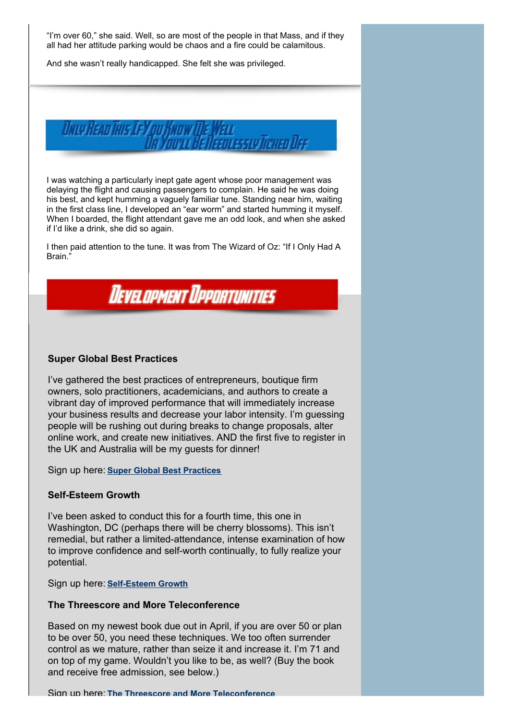"I'm over 60," she said. Well, so are most of the people in that Mass, and if they all had her attitude parking would be chaos and a fire could be calamitous.

And she wasn't really handicapped. She felt she was privileged.



I was watching a particularly inept gate agent whose poor management was delaying the flight and causing passengers to complain. He said he was doing his best, and kept humming a vaguely familiar tune. Standing near him, waiting in the first class line, I developed an "ear worm" and started humming it myself. When I boarded, the flight attendant gave me an odd look, and when she asked if I'd like a drink, she did so again.

I then paid attention to the tune. It was from The Wizard of Oz: "If I Only Had A Brain."



#### **Super Global Best Practices**

I've gathered the best practices of entrepreneurs, boutique firm owners, solo practitioners, academicians, and authors to create a vibrant day of improved performance that will immediately increase your business results and decrease your labor intensity. I'm guessing people will be rushing out during breaks to change proposals, alter online work, and create new initiatives. AND the first five to register in the UK and Australia will be my guests for dinner!

Sign up here: **Super Global Best [Practices](https://www.alanweiss.com/growth-experiences/super-best-practices-experience/)**

#### **Self-Esteem Growth**

I've been asked to conduct this for a fourth time, this one in Washington, DC (perhaps there will be cherry blossoms). This isn't remedial, but rather a limited-attendance, intense examination of how to improve confidence and self-worth continually, to fully realize your potential.

Sign up here: **[Self-Esteem](https://www.alanweiss.com/growth-experiences/self-esteem-workshop/) Growth**

#### **The Threescore and More Teleconference**

Based on my newest book due out in April, if you are over 50 or plan to be over 50, you need these techniques. We too often surrender control as we mature, rather than seize it and increase it. I'm 71 and on top of my game. Wouldn't you like to be, as well? (Buy the book and receive free admission, see below.)